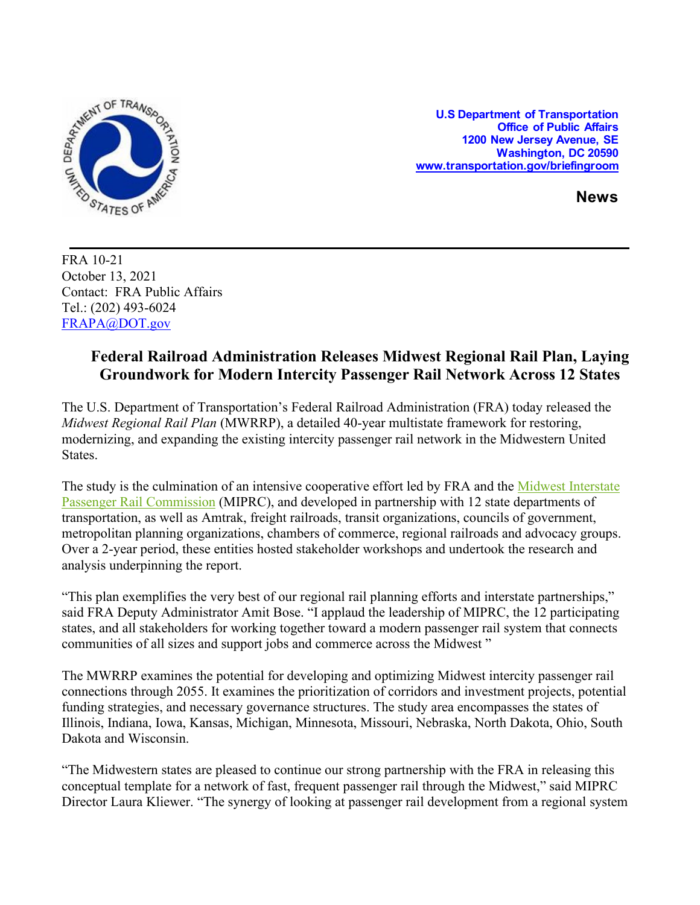

**U.S Department of Transportation Office of Public Affairs 1200 New Jersey Avenue, SE Washington, DC 20590 [www.transportation.gov/briefingroom](http://www.transportation.gov/briefingroom)** 

**News**

FRA 10-21 October 13, 2021 Contact: FRA Public Affairs Tel.: (202) 493-6024 [FRAPA@DOT.gov](mailto:FRAPA@DOT.gov)

## **Federal Railroad Administration Releases Midwest Regional Rail Plan, Laying Groundwork for Modern Intercity Passenger Rail Network Across 12 States**

The U.S. Department of Transportation's Federal Railroad Administration (FRA) today released the *Midwest Regional Rail Plan* (MWRRP), a detailed 40-year multistate framework for restoring, modernizing, and expanding the existing intercity passenger rail network in the Midwestern United States.

The study is the culmination of an intensive cooperative effort led by FRA and the Midwest Interstate [Passenger Rail Commission](https://miprc.org/) (MIPRC), and developed in partnership with 12 state departments of transportation, as well as Amtrak, freight railroads, transit organizations, councils of government, metropolitan planning organizations, chambers of commerce, regional railroads and advocacy groups. Over a 2-year period, these entities hosted stakeholder workshops and undertook the research and analysis underpinning the report.

"This plan exemplifies the very best of our regional rail planning efforts and interstate partnerships," said FRA Deputy Administrator Amit Bose. "I applaud the leadership of MIPRC, the 12 participating states, and all stakeholders for working together toward a modern passenger rail system that connects communities of all sizes and support jobs and commerce across the Midwest "

The MWRRP examines the potential for developing and optimizing Midwest intercity passenger rail connections through 2055. It examines the prioritization of corridors and investment projects, potential funding strategies, and necessary governance structures. The study area encompasses the states of Illinois, Indiana, Iowa, Kansas, Michigan, Minnesota, Missouri, Nebraska, North Dakota, Ohio, South Dakota and Wisconsin.

"The Midwestern states are pleased to continue our strong partnership with the FRA in releasing this conceptual template for a network of fast, frequent passenger rail through the Midwest," said MIPRC Director Laura Kliewer. "The synergy of looking at passenger rail development from a regional system